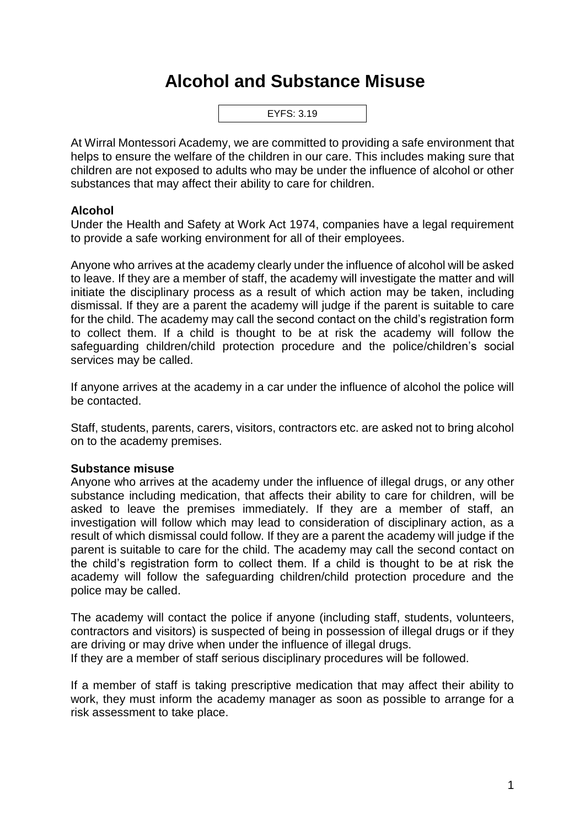## **Alcohol and Substance Misuse**



At Wirral Montessori Academy, we are committed to providing a safe environment that helps to ensure the welfare of the children in our care. This includes making sure that children are not exposed to adults who may be under the influence of alcohol or other substances that may affect their ability to care for children.

## **Alcohol**

Under the Health and Safety at Work Act 1974, companies have a legal requirement to provide a safe working environment for all of their employees.

Anyone who arrives at the academy clearly under the influence of alcohol will be asked to leave. If they are a member of staff, the academy will investigate the matter and will initiate the disciplinary process as a result of which action may be taken, including dismissal. If they are a parent the academy will judge if the parent is suitable to care for the child. The academy may call the second contact on the child's registration form to collect them. If a child is thought to be at risk the academy will follow the safeguarding children/child protection procedure and the police/children's social services may be called.

If anyone arrives at the academy in a car under the influence of alcohol the police will be contacted.

Staff, students, parents, carers, visitors, contractors etc. are asked not to bring alcohol on to the academy premises.

## **Substance misuse**

Anyone who arrives at the academy under the influence of illegal drugs, or any other substance including medication, that affects their ability to care for children, will be asked to leave the premises immediately. If they are a member of staff, an investigation will follow which may lead to consideration of disciplinary action, as a result of which dismissal could follow. If they are a parent the academy will judge if the parent is suitable to care for the child. The academy may call the second contact on the child's registration form to collect them. If a child is thought to be at risk the academy will follow the safeguarding children/child protection procedure and the police may be called.

The academy will contact the police if anyone (including staff, students, volunteers, contractors and visitors) is suspected of being in possession of illegal drugs or if they are driving or may drive when under the influence of illegal drugs. If they are a member of staff serious disciplinary procedures will be followed.

If a member of staff is taking prescriptive medication that may affect their ability to work, they must inform the academy manager as soon as possible to arrange for a risk assessment to take place.